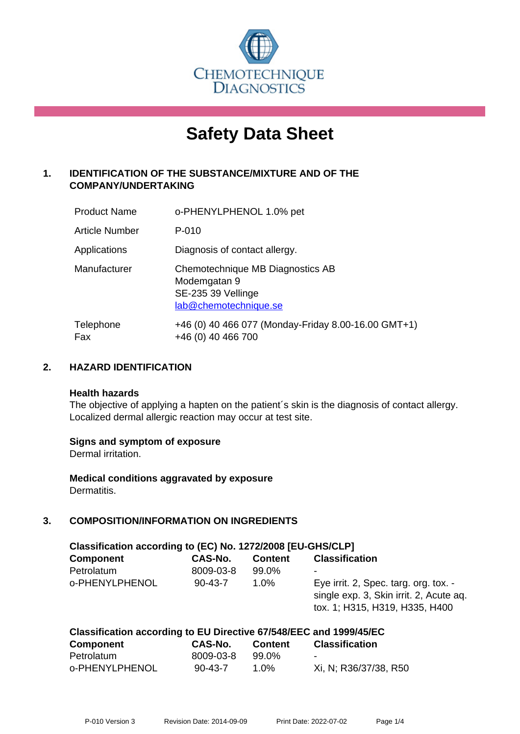

# **Safety Data Sheet**

# **1. IDENTIFICATION OF THE SUBSTANCE/MIXTURE AND OF THE COMPANY/UNDERTAKING**

| <b>Product Name</b> | o-PHENYLPHENOL 1.0% pet                                                                         |
|---------------------|-------------------------------------------------------------------------------------------------|
| Article Number      | P-010                                                                                           |
| Applications        | Diagnosis of contact allergy.                                                                   |
| Manufacturer        | Chemotechnique MB Diagnostics AB<br>Modemgatan 9<br>SE-235 39 Vellinge<br>lab@chemotechnique.se |
| Telephone<br>Fax    | +46 (0) 40 466 077 (Monday-Friday 8.00-16.00 GMT+1)<br>+46 (0) 40 466 700                       |

## **2. HAZARD IDENTIFICATION**

#### **Health hazards**

The objective of applying a hapten on the patient's skin is the diagnosis of contact allergy. Localized dermal allergic reaction may occur at test site.

## **Signs and symptom of exposure**

Dermal irritation.

**Medical conditions aggravated by exposure** Dermatitis.

# **3. COMPOSITION/INFORMATION ON INGREDIENTS**

| Classification according to (EC) No. 1272/2008 [EU-GHS/CLP] |               |                |                                                                                                                    |  |  |
|-------------------------------------------------------------|---------------|----------------|--------------------------------------------------------------------------------------------------------------------|--|--|
| <b>Component</b>                                            | CAS-No.       | <b>Content</b> | <b>Classification</b>                                                                                              |  |  |
| Petrolatum                                                  | 8009-03-8     | 99.0%          |                                                                                                                    |  |  |
| o-PHENYLPHENOL                                              | $90 - 43 - 7$ | 1.0%           | Eye irrit. 2, Spec. targ. org. tox. -<br>single exp. 3, Skin irrit. 2, Acute aq.<br>tox. 1; H315, H319, H335, H400 |  |  |

| Classification according to EU Directive 67/548/EEC and 1999/45/EC |               |                |                       |  |
|--------------------------------------------------------------------|---------------|----------------|-----------------------|--|
| <b>Component</b>                                                   | CAS-No.       | <b>Content</b> | <b>Classification</b> |  |
| Petrolatum                                                         | 8009-03-8     | 99.0%          | $\sim$                |  |
| 0-PHENYLPHENOL                                                     | $90 - 43 - 7$ | 1.0%           | Xi, N; R36/37/38, R50 |  |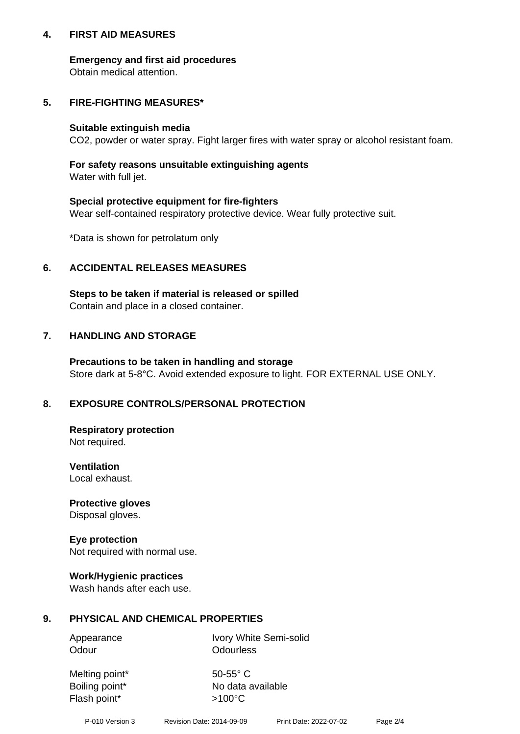## **4. FIRST AID MEASURES**

## **Emergency and first aid procedures**

Obtain medical attention.

## **5. FIRE-FIGHTING MEASURES\***

#### **Suitable extinguish media**

CO2, powder or water spray. Fight larger fires with water spray or alcohol resistant foam.

# **For safety reasons unsuitable extinguishing agents**

Water with full jet.

## **Special protective equipment for fire-fighters**

Wear self-contained respiratory protective device. Wear fully protective suit.

\*Data is shown for petrolatum only

## **6. ACCIDENTAL RELEASES MEASURES**

**Steps to be taken if material is released or spilled** Contain and place in a closed container.

# **7. HANDLING AND STORAGE**

**Precautions to be taken in handling and storage** Store dark at 5-8°C. Avoid extended exposure to light. FOR EXTERNAL USE ONLY.

# **8. EXPOSURE CONTROLS/PERSONAL PROTECTION**

**Respiratory protection** Not required.

**Ventilation** Local exhaust.

**Protective gloves** Disposal gloves.

#### **Eye protection** Not required with normal use.

## **Work/Hygienic practices**

Wash hands after each use.

## **9. PHYSICAL AND CHEMICAL PROPERTIES**

Odour **Odourless** 

Appearance Ivory White Semi-solid

Melting point\* 50-55° C Flash point\*  $>100^{\circ}$ C

Boiling point\* No data available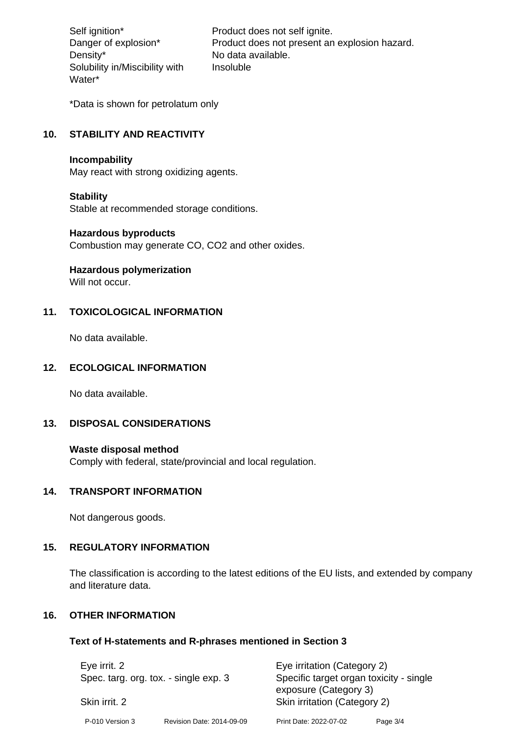Density\* No data available. Solubility in/Miscibility with Water\*

Self ignition\* Product does not self ignite. Danger of explosion\* Product does not present an explosion hazard. Insoluble

\*Data is shown for petrolatum only

# **10. STABILITY AND REACTIVITY**

#### **Incompability**

May react with strong oxidizing agents.

#### **Stability**

Stable at recommended storage conditions.

## **Hazardous byproducts**

Combustion may generate CO, CO2 and other oxides.

**Hazardous polymerization**

Will not occur.

## **11. TOXICOLOGICAL INFORMATION**

No data available.

## **12. ECOLOGICAL INFORMATION**

No data available.

## **13. DISPOSAL CONSIDERATIONS**

#### **Waste disposal method**

Comply with federal, state/provincial and local regulation.

#### **14. TRANSPORT INFORMATION**

Not dangerous goods.

# **15. REGULATORY INFORMATION**

The classification is according to the latest editions of the EU lists, and extended by company and literature data.

#### **16. OTHER INFORMATION**

#### **Text of H-statements and R-phrases mentioned in Section 3**

| Eye irrit. 2<br>Spec. targ. org. tox. - single exp. 3<br>Skin irrit. 2 |                           | Eye irritation (Category 2)<br>Specific target organ toxicity - single |          |  |
|------------------------------------------------------------------------|---------------------------|------------------------------------------------------------------------|----------|--|
|                                                                        |                           | exposure (Category 3)<br>Skin irritation (Category 2)                  |          |  |
| P-010 Version 3                                                        | Revision Date: 2014-09-09 | Print Date: 2022-07-02                                                 | Page 3/4 |  |